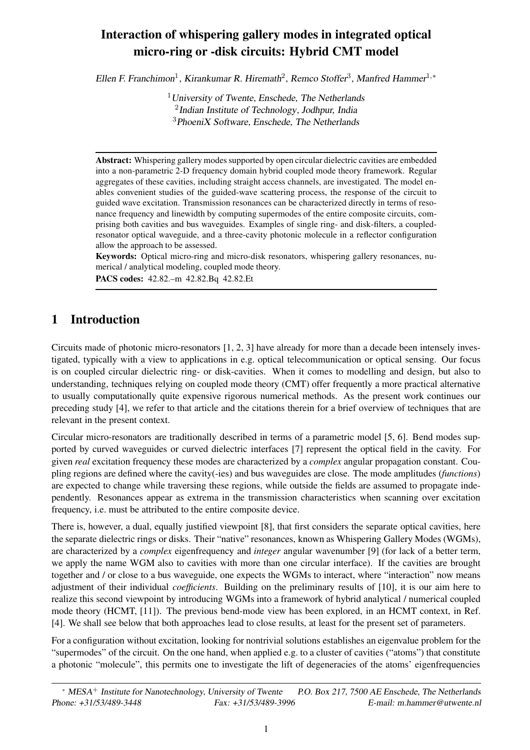# **Interaction of whispering gallery modes in integrated optical micro-ring or -disk circuits: Hybrid CMT model**

Ellen F. Franchimon<sup>1</sup>, Kirankumar R. Hiremath<sup>2</sup>, Remco Stoffer<sup>3</sup>, Manfred Hammer<sup>1,\*</sup>

 $1$ University of Twente, Enschede, The Netherlands 2 Indian Institute of Technology, Jodhpur, India  $3P$ hoeni $X$  Software, Enschede, The Netherlands

**Abstract:** Whispering gallery modes supported by open circular dielectric cavities are embedded into a non-parametric 2-D frequency domain hybrid coupled mode theory framework. Regular aggregates of these cavities, including straight access channels, are investigated. The model enables convenient studies of the guided-wave scattering process, the response of the circuit to guided wave excitation. Transmission resonances can be characterized directly in terms of resonance frequency and linewidth by computing supermodes of the entire composite circuits, comprising both cavities and bus waveguides. Examples of single ring- and disk-filters, a coupledresonator optical waveguide, and a three-cavity photonic molecule in a reflector configuration allow the approach to be assessed.

**Keywords:** Optical micro-ring and micro-disk resonators, whispering gallery resonances, numerical / analytical modeling, coupled mode theory.

**PACS codes:** 42.82.–m 42.82.Bq 42.82.Et

# **1 Introduction**

Circuits made of photonic micro-resonators [1, 2, 3] have already for more than a decade been intensely investigated, typically with a view to applications in e.g. optical telecommunication or optical sensing. Our focus is on coupled circular dielectric ring- or disk-cavities. When it comes to modelling and design, but also to understanding, techniques relying on coupled mode theory (CMT) offer frequently a more practical alternative to usually computationally quite expensive rigorous numerical methods. As the present work continues our preceding study [4], we refer to that article and the citations therein for a brief overview of techniques that are relevant in the present context.

Circular micro-resonators are traditionally described in terms of a parametric model [5, 6]. Bend modes supported by curved waveguides or curved dielectric interfaces [7] represent the optical field in the cavity. For given *real* excitation frequency these modes are characterized by a *complex* angular propagation constant. Coupling regions are defined where the cavity(-ies) and bus waveguides are close. The mode amplitudes (*functions*) are expected to change while traversing these regions, while outside the fields are assumed to propagate independently. Resonances appear as extrema in the transmission characteristics when scanning over excitation frequency, i.e. must be attributed to the entire composite device.

There is, however, a dual, equally justified viewpoint [8], that first considers the separate optical cavities, here the separate dielectric rings or disks. Their "native" resonances, known as Whispering Gallery Modes (WGMs), are characterized by a *complex* eigenfrequency and *integer* angular wavenumber [9] (for lack of a better term, we apply the name WGM also to cavities with more than one circular interface). If the cavities are brought together and / or close to a bus waveguide, one expects the WGMs to interact, where "interaction" now means adjustment of their individual *coefficients*. Building on the preliminary results of [10], it is our aim here to realize this second viewpoint by introducing WGMs into a framework of hybrid analytical / numerical coupled mode theory (HCMT, [11]). The previous bend-mode view has been explored, in an HCMT context, in Ref. [4]. We shall see below that both approaches lead to close results, at least for the present set of parameters.

For a configuration without excitation, looking for nontrivial solutions establishes an eigenvalue problem for the "supermodes" of the circuit. On the one hand, when applied e.g. to a cluster of cavities ("atoms") that constitute a photonic "molecule", this permits one to investigate the lift of degeneracies of the atoms' eigenfrequencies

<sup>∗</sup> MESA <sup>+</sup> Institute for Nanotechnology, University of Twente P.O. Box 217, <sup>7500</sup> AE Enschede, The Netherlands Phone: +31/53/489-3448 Fax: +31/53/489-3996 E-mail: m.hammer@utwente.nl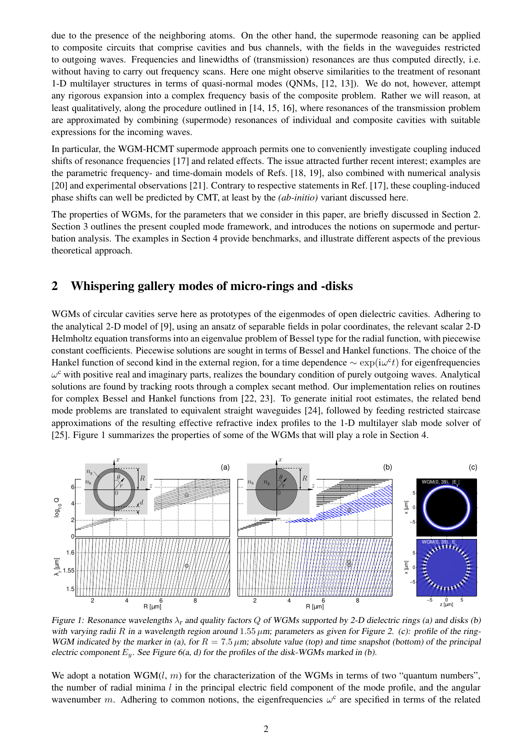due to the presence of the neighboring atoms. On the other hand, the supermode reasoning can be applied to composite circuits that comprise cavities and bus channels, with the fields in the waveguides restricted to outgoing waves. Frequencies and linewidths of (transmission) resonances are thus computed directly, i.e. without having to carry out frequency scans. Here one might observe similarities to the treatment of resonant 1-D multilayer structures in terms of quasi-normal modes (QNMs, [12, 13]). We do not, however, attempt any rigorous expansion into a complex frequency basis of the composite problem. Rather we will reason, at least qualitatively, along the procedure outlined in [14, 15, 16], where resonances of the transmission problem are approximated by combining (supermode) resonances of individual and composite cavities with suitable expressions for the incoming waves.

In particular, the WGM-HCMT supermode approach permits one to conveniently investigate coupling induced shifts of resonance frequencies [17] and related effects. The issue attracted further recent interest; examples are the parametric frequency- and time-domain models of Refs. [18, 19], also combined with numerical analysis [20] and experimental observations [21]. Contrary to respective statements in Ref. [17], these coupling-induced phase shifts can well be predicted by CMT, at least by the *(ab-initio)* variant discussed here.

The properties of WGMs, for the parameters that we consider in this paper, are briefly discussed in Section 2. Section 3 outlines the present coupled mode framework, and introduces the notions on supermode and perturbation analysis. The examples in Section 4 provide benchmarks, and illustrate different aspects of the previous theoretical approach.

# **2 Whispering gallery modes of micro-rings and -disks**

WGMs of circular cavities serve here as prototypes of the eigenmodes of open dielectric cavities. Adhering to the analytical 2-D model of [9], using an ansatz of separable fields in polar coordinates, the relevant scalar 2-D Helmholtz equation transforms into an eigenvalue problem of Bessel type for the radial function, with piecewise constant coefficients. Piecewise solutions are sought in terms of Bessel and Hankel functions. The choice of the Hankel function of second kind in the external region, for a time dependence  $\sim \exp(i\omega^c t)$  for eigenfrequencies  $\omega^c$  with positive real and imaginary parts, realizes the boundary condition of purely outgoing waves. Analytical solutions are found by tracking roots through a complex secant method. Our implementation relies on routines for complex Bessel and Hankel functions from [22, 23]. To generate initial root estimates, the related bend mode problems are translated to equivalent straight waveguides [24], followed by feeding restricted staircase approximations of the resulting effective refractive index profiles to the 1-D multilayer slab mode solver of [25]. Figure 1 summarizes the properties of some of the WGMs that will play a role in Section 4.



Figure 1: Resonance wavelengths  $\lambda_r$  and quality factors Q of WGMs supported by 2-D dielectric rings (a) and disks (b) with varying radii R in a wavelength region around  $1.55 \mu m$ ; parameters as given for Figure 2. (c): profile of the ring-WGM indicated by the marker in (a), for  $R = 7.5 \mu m$ ; absolute value (top) and time snapshot (bottom) of the principal electric component  $E_y$ . See Figure 6(a, d) for the profiles of the disk-WGMs marked in (b).

We adopt a notation  $WGM(l, m)$  for the characterization of the WGMs in terms of two "quantum numbers", the number of radial minima  $l$  in the principal electric field component of the mode profile, and the angular wavenumber m. Adhering to common notions, the eigenfrequencies  $\omega^c$  are specified in terms of the related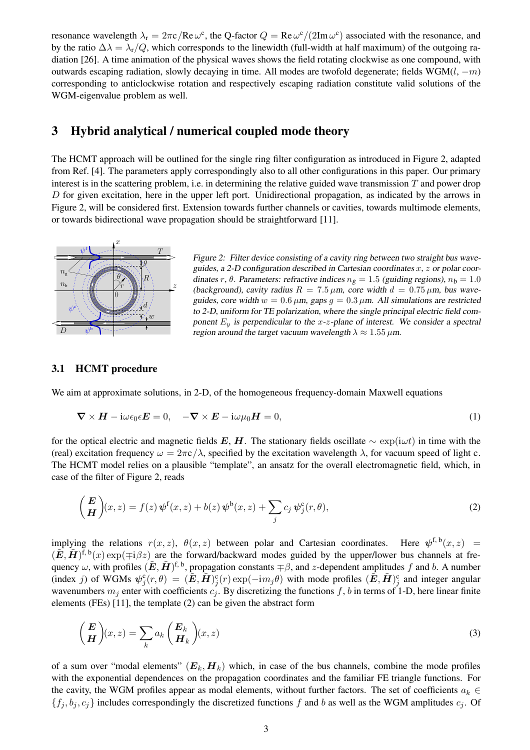resonance wavelength  $\lambda_r = 2\pi c/Re\,\omega^c$ , the Q-factor  $Q = Re\,\omega^c/(2Im\,\omega^c)$  associated with the resonance, and by the ratio  $\Delta \lambda = \lambda_r/Q$ , which corresponds to the linewidth (full-width at half maximum) of the outgoing radiation [26]. A time animation of the physical waves shows the field rotating clockwise as one compound, with outwards escaping radiation, slowly decaying in time. All modes are twofold degenerate; fields WGM $(l, -m)$ corresponding to anticlockwise rotation and respectively escaping radiation constitute valid solutions of the WGM-eigenvalue problem as well.

## **3 Hybrid analytical / numerical coupled mode theory**

The HCMT approach will be outlined for the single ring filter configuration as introduced in Figure 2, adapted from Ref. [4]. The parameters apply correspondingly also to all other configurations in this paper. Our primary interest is in the scattering problem, i.e. in determining the relative guided wave transmission  $T$  and power drop D for given excitation, here in the upper left port. Unidirectional propagation, as indicated by the arrows in Figure 2, will be considered first. Extension towards further channels or cavities, towards multimode elements, or towards bidirectional wave propagation should be straightforward [11].



Figure 2: Filter device consisting of a cavity ring between two straight bus waveguides, a 2-D configuration described in Cartesian coordinates  $x, z$  or polar coordinates r,  $\theta$ . Parameters: refractive indices  $n_{\sigma} = 1.5$  (guiding regions),  $n_{\rm b} = 1.0$ (background), cavity radius  $R = 7.5 \mu m$ , core width  $d = 0.75 \mu m$ , bus waveguides, core width  $w = 0.6 \mu m$ , gaps  $q = 0.3 \mu m$ . All simulations are restricted to 2-D, uniform for TE polarization, where the single principal electric field component  $E_y$  is perpendicular to the x-z-plane of interest. We consider a spectral region around the target vacuum wavelength  $\lambda \approx 1.55 \,\mu$ m.

#### **3.1 HCMT procedure**

We aim at approximate solutions, in 2-D, of the homogeneous frequency-domain Maxwell equations

$$
\nabla \times \boldsymbol{H} - i\omega \epsilon_0 \epsilon \boldsymbol{E} = 0, \quad -\nabla \times \boldsymbol{E} - i\omega \mu_0 \boldsymbol{H} = 0,
$$
\n(1)

for the optical electric and magnetic fields E, H. The stationary fields oscillate  $\sim \exp(i\omega t)$  in time with the (real) excitation frequency  $\omega = 2\pi c/\lambda$ , specified by the excitation wavelength  $\lambda$ , for vacuum speed of light c. The HCMT model relies on a plausible "template", an ansatz for the overall electromagnetic field, which, in case of the filter of Figure 2, reads

$$
\begin{pmatrix} E \\ H \end{pmatrix} (x, z) = f(z) \psi^{\mathsf{f}}(x, z) + b(z) \psi^{\mathsf{b}}(x, z) + \sum_j c_j \psi_j^{\mathsf{c}}(r, \theta), \tag{2}
$$

implying the relations  $r(x, z)$ ,  $\theta(x, z)$  between polar and Cartesian coordinates. Here  $\psi^{\text{f},\, \text{b}}(x, z)$  =  $(\tilde{E}, \tilde{H})^{\tilde{f}, b}(x) \exp(\mp i\beta z)$  are the forward/backward modes guided by the upper/lower bus channels at frequency  $\omega$ , with profiles  $(\tilde{E}, \tilde{H})^{\text{f}, b}$ , propagation constants  $\mp \beta$ , and z-dependent amplitudes f and b. A number (index j) of WGMs  $\psi_j^c(r,\theta) = (\tilde{E}, \tilde{H})_j^c(r) \exp(-im_j\theta)$  with mode profiles  $(\tilde{E}, \tilde{H})_j^c$  and integer angular wavenumbers  $m_i$  enter with coefficients  $c_i$ . By discretizing the functions f, b in terms of 1-D, here linear finite elements (FEs) [11], the template (2) can be given the abstract form

$$
\begin{pmatrix} E \\ H \end{pmatrix} (x, z) = \sum_{k} a_k \begin{pmatrix} E_k \\ H_k \end{pmatrix} (x, z) \tag{3}
$$

of a sum over "modal elements"  $(E_k, H_k)$  which, in case of the bus channels, combine the mode profiles with the exponential dependences on the propagation coordinates and the familiar FE triangle functions. For the cavity, the WGM profiles appear as modal elements, without further factors. The set of coefficients  $a_k \in$  $\{f_j, b_j, c_j\}$  includes correspondingly the discretized functions f and b as well as the WGM amplitudes  $c_j$ . Of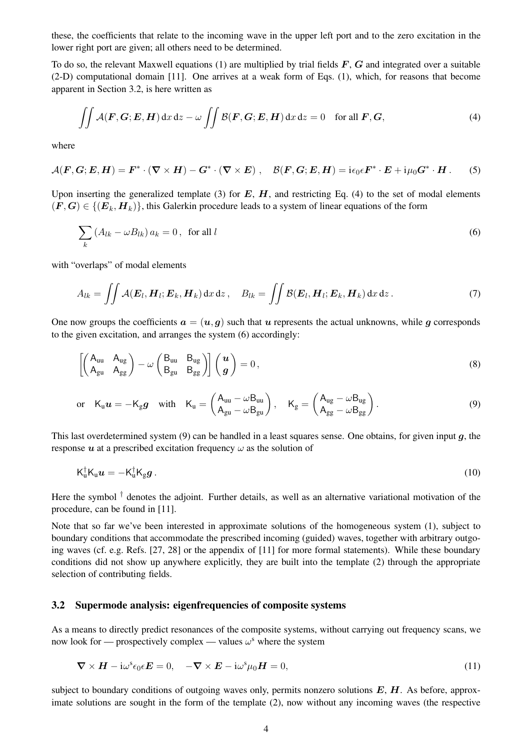these, the coefficients that relate to the incoming wave in the upper left port and to the zero excitation in the lower right port are given; all others need to be determined.

To do so, the relevant Maxwell equations (1) are multiplied by trial fields  $F$ ,  $G$  and integrated over a suitable (2-D) computational domain [11]. One arrives at a weak form of Eqs. (1), which, for reasons that become apparent in Section 3.2, is here written as

$$
\iint A(\mathbf{F}, \mathbf{G}; \mathbf{E}, \mathbf{H}) \, dx \, dz - \omega \iint \mathcal{B}(\mathbf{F}, \mathbf{G}; \mathbf{E}, \mathbf{H}) \, dx \, dz = 0 \quad \text{for all } \mathbf{F}, \mathbf{G},
$$
 (4)

where

$$
\mathcal{A}(\mathbf{F},\mathbf{G};\mathbf{E},\mathbf{H})=\mathbf{F}^*\cdot(\nabla\times\mathbf{H})-\mathbf{G}^*\cdot(\nabla\times\mathbf{E})\;,\quad\mathcal{B}(\mathbf{F},\mathbf{G};\mathbf{E},\mathbf{H})=\mathrm{i}\epsilon_0\epsilon\mathbf{F}^*\cdot\mathbf{E}+\mathrm{i}\mu_0\mathbf{G}^*\cdot\mathbf{H}\,. \tag{5}
$$

Upon inserting the generalized template (3) for  $E$ ,  $H$ , and restricting Eq. (4) to the set of modal elements  $(F, G) \in \{ (E_k, H_k) \}$ , this Galerkin procedure leads to a system of linear equations of the form

$$
\sum_{k} \left( A_{lk} - \omega B_{lk} \right) a_k = 0, \text{ for all } l \tag{6}
$$

with "overlaps" of modal elements

$$
A_{lk} = \iint \mathcal{A}(\boldsymbol{E}_l, \boldsymbol{H}_l; \boldsymbol{E}_k, \boldsymbol{H}_k) \, dx \, dz \,, \quad B_{lk} = \iint \mathcal{B}(\boldsymbol{E}_l, \boldsymbol{H}_l; \boldsymbol{E}_k, \boldsymbol{H}_k) \, dx \, dz \,.
$$
 (7)

One now groups the coefficients  $a = (u, q)$  such that u represents the actual unknowns, while q corresponds to the given excitation, and arranges the system (6) accordingly:

$$
\left[\begin{pmatrix} A_{uu} & A_{ug} \\ A_{gu} & A_{gg} \end{pmatrix} - \omega \begin{pmatrix} B_{uu} & B_{ug} \\ B_{gu} & B_{gg} \end{pmatrix}\right] \begin{pmatrix} u \\ g \end{pmatrix} = 0, \qquad (8)
$$

or 
$$
K_u u = -K_g g
$$
 with  $K_u = \begin{pmatrix} A_{uu} - \omega B_{uu} \\ A_{gu} - \omega B_{gu} \end{pmatrix}$ ,  $K_g = \begin{pmatrix} A_{ug} - \omega B_{ug} \\ A_{gg} - \omega B_{gg} \end{pmatrix}$ . (9)

This last overdetermined system  $(9)$  can be handled in a least squares sense. One obtains, for given input q, the response  $u$  at a prescribed excitation frequency  $\omega$  as the solution of

$$
K_{\mathbf{u}}^{\dagger}K_{\mathbf{u}}\mathbf{u} = -K_{\mathbf{u}}^{\dagger}K_{\mathbf{g}}\mathbf{g}.
$$
 (10)

Here the symbol  $<sup>†</sup>$  denotes the adjoint. Further details, as well as an alternative variational motivation of the</sup> procedure, can be found in [11].

Note that so far we've been interested in approximate solutions of the homogeneous system (1), subject to boundary conditions that accommodate the prescribed incoming (guided) waves, together with arbitrary outgoing waves (cf. e.g. Refs. [27, 28] or the appendix of [11] for more formal statements). While these boundary conditions did not show up anywhere explicitly, they are built into the template (2) through the appropriate selection of contributing fields.

#### **3.2 Supermode analysis: eigenfrequencies of composite systems**

As a means to directly predict resonances of the composite systems, without carrying out frequency scans, we now look for — prospectively complex — values  $\omega^s$  where the system

$$
\nabla \times \boldsymbol{H} - i\omega^s \epsilon_0 \epsilon \boldsymbol{E} = 0, \quad -\nabla \times \boldsymbol{E} - i\omega^s \mu_0 \boldsymbol{H} = 0,
$$
\n(11)

subject to boundary conditions of outgoing waves only, permits nonzero solutions  $E$ ,  $H$ . As before, approximate solutions are sought in the form of the template (2), now without any incoming waves (the respective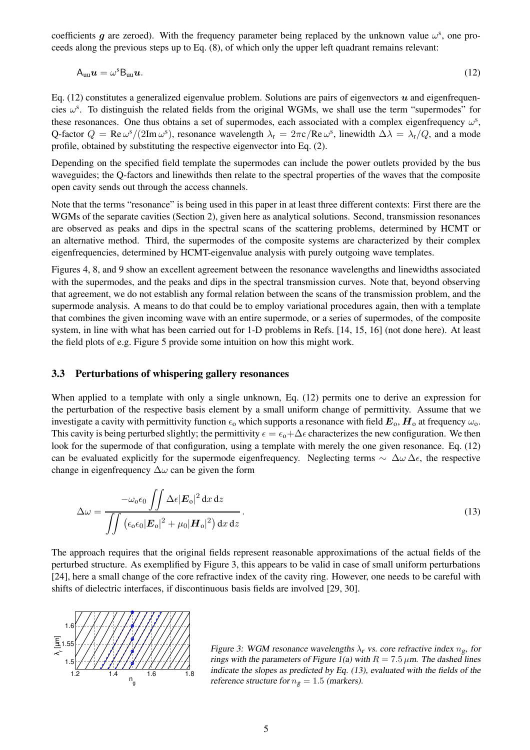coefficients g are zeroed). With the frequency parameter being replaced by the unknown value  $\omega^s$ , one proceeds along the previous steps up to Eq. (8), of which only the upper left quadrant remains relevant:

$$
A_{uu}u = \omega^{s} B_{uu}u. \tag{12}
$$

Eq.  $(12)$  constitutes a generalized eigenvalue problem. Solutions are pairs of eigenvectors  $\boldsymbol{u}$  and eigenfrequencies  $\omega$ <sup>s</sup>. To distinguish the related fields from the original WGMs, we shall use the term "supermodes" for these resonances. One thus obtains a set of supermodes, each associated with a complex eigenfrequency  $\omega^s$ , Q-factor  $Q = \text{Re }\omega^{s}/(2\text{Im }\omega^{s})$ , resonance wavelength  $\lambda_{r} = 2\pi c/\text{Re }\omega^{s}$ , linewidth  $\Delta\lambda = \lambda_{r}/Q$ , and a mode profile, obtained by substituting the respective eigenvector into Eq. (2).

Depending on the specified field template the supermodes can include the power outlets provided by the bus waveguides; the Q-factors and linewithds then relate to the spectral properties of the waves that the composite open cavity sends out through the access channels.

Note that the terms "resonance" is being used in this paper in at least three different contexts: First there are the WGMs of the separate cavities (Section 2), given here as analytical solutions. Second, transmission resonances are observed as peaks and dips in the spectral scans of the scattering problems, determined by HCMT or an alternative method. Third, the supermodes of the composite systems are characterized by their complex eigenfrequencies, determined by HCMT-eigenvalue analysis with purely outgoing wave templates.

Figures 4, 8, and 9 show an excellent agreement between the resonance wavelengths and linewidths associated with the supermodes, and the peaks and dips in the spectral transmission curves. Note that, beyond observing that agreement, we do not establish any formal relation between the scans of the transmission problem, and the supermode analysis. A means to do that could be to employ variational procedures again, then with a template that combines the given incoming wave with an entire supermode, or a series of supermodes, of the composite system, in line with what has been carried out for 1-D problems in Refs. [14, 15, 16] (not done here). At least the field plots of e.g. Figure 5 provide some intuition on how this might work.

#### **3.3 Perturbations of whispering gallery resonances**

When applied to a template with only a single unknown, Eq. (12) permits one to derive an expression for the perturbation of the respective basis element by a small uniform change of permittivity. Assume that we investigate a cavity with permittivity function  $\epsilon_0$  which supports a resonance with field  $E_0$ ,  $H_0$  at frequency  $\omega_0$ . This cavity is being perturbed slightly; the permittivity  $\epsilon = \epsilon_0 + \Delta \epsilon$  characterizes the new configuration. We then look for the supermode of that configuration, using a template with merely the one given resonance. Eq. (12) can be evaluated explicitly for the supermode eigenfrequency. Neglecting terms  $\sim \Delta\omega \Delta\epsilon$ , the respective change in eigenfrequency  $\Delta\omega$  can be given the form

$$
\Delta \omega = \frac{-\omega_{o}\epsilon_{0} \iint \Delta \epsilon |\mathbf{E}_{o}|^{2} dx dz}{\iint \left(\epsilon_{o}\epsilon_{0} |\mathbf{E}_{o}|^{2} + \mu_{0} |\mathbf{H}_{o}|^{2}\right) dx dz}.
$$
\n(13)

The approach requires that the original fields represent reasonable approximations of the actual fields of the perturbed structure. As exemplified by Figure 3, this appears to be valid in case of small uniform perturbations [24], here a small change of the core refractive index of the cavity ring. However, one needs to be careful with shifts of dielectric interfaces, if discontinuous basis fields are involved [29, 30].



Figure 3: WGM resonance wavelengths  $\lambda_r$  vs. core refractive index  $n_{\varrho}$ , for rings with the parameters of Figure 1(a) with  $R = 7.5 \,\mu \text{m}$ . The dashed lines indicate the slopes as predicted by Eq. (13), evaluated with the fields of the reference structure for  $n<sub>g</sub> = 1.5$  (markers).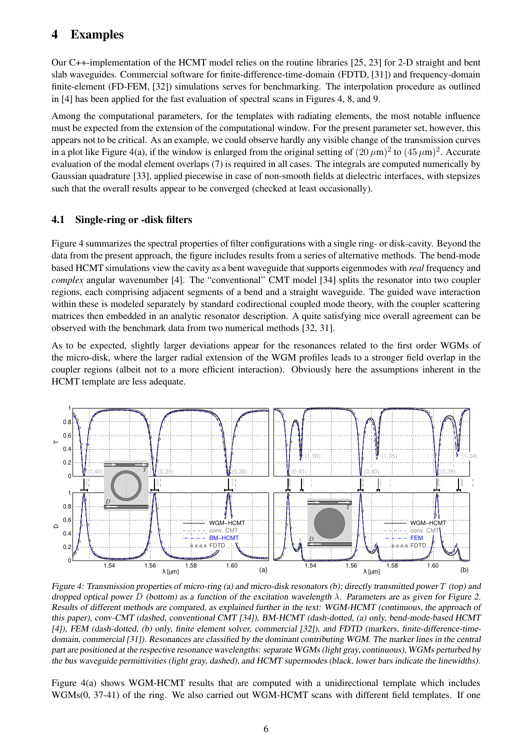## **4 Examples**

Our C++-implementation of the HCMT model relies on the routine libraries [25, 23] for 2-D straight and bent slab waveguides. Commercial software for finite-difference-time-domain (FDTD, [31]) and frequency-domain finite-element (FD-FEM, [32]) simulations serves for benchmarking. The interpolation procedure as outlined in [4] has been applied for the fast evaluation of spectral scans in Figures 4, 8, and 9.

Among the computational parameters, for the templates with radiating elements, the most notable influence must be expected from the extension of the computational window. For the present parameter set, however, this appears not to be critical. As an example, we could observe hardly any visible change of the transmission curves in a plot like Figure 4(a), if the window is enlarged from the original setting of  $(20 \mu m)^2$  to  $(45 \mu m)^2$ . Accurate evaluation of the modal element overlaps (7) is required in all cases. The integrals are computed numerically by Gaussian quadrature [33], applied piecewise in case of non-smooth fields at dielectric interfaces, with stepsizes such that the overall results appear to be converged (checked at least occasionally).

### **4.1 Single-ring or -disk filters**

Figure 4 summarizes the spectral properties of filter configurations with a single ring- or disk-cavity. Beyond the data from the present approach, the figure includes results from a series of alternative methods. The bend-mode based HCMT simulations view the cavity as a bent waveguide that supports eigenmodes with *real* frequency and *complex* angular wavenumber [4]. The "conventional" CMT model [34] splits the resonator into two coupler regions, each comprising adjacent segments of a bend and a straight waveguide. The guided wave interaction within these is modeled separately by standard codirectional coupled mode theory, with the coupler scattering matrices then embedded in an analytic resonator description. A quite satisfying nice overall agreement can be observed with the benchmark data from two numerical methods [32, 31].

As to be expected, slightly larger deviations appear for the resonances related to the first order WGMs of the micro-disk, where the larger radial extension of the WGM profiles leads to a stronger field overlap in the coupler regions (albeit not to a more efficient interaction). Obviously here the assumptions inherent in the HCMT template are less adequate.



Figure 4: Transmission properties of micro-ring (a) and micro-disk resonators (b); directly transmitted power  $T$  (top) and dropped optical power D (bottom) as a function of the excitation wavelength  $\lambda$ . Parameters are as given for Figure 2. Results of different methods are compared, as explained further in the text: WGM-HCMT (continuous, the approach of this paper), conv-CMT (dashed, conventional CMT [34]), BM-HCMT (dash-dotted, (a) only, bend-mode-based HCMT [4]), FEM (dash-dotted, (b) only, finite element solver, commercial [32]), and FDTD (markers, finite-difference-timedomain, commercial [31]). Resonances are classified by the dominant contributing WGM. The marker lines in the central part are positioned at the respective resonance wavelengths: separate WGMs (light gray, continuous), WGMs perturbed by the bus waveguide permittivities (light gray, dashed), and HCMT supermodes (black, lower bars indicate the linewidths).

Figure 4(a) shows WGM-HCMT results that are computed with a unidirectional template which includes WGMs(0, 37-41) of the ring. We also carried out WGM-HCMT scans with different field templates. If one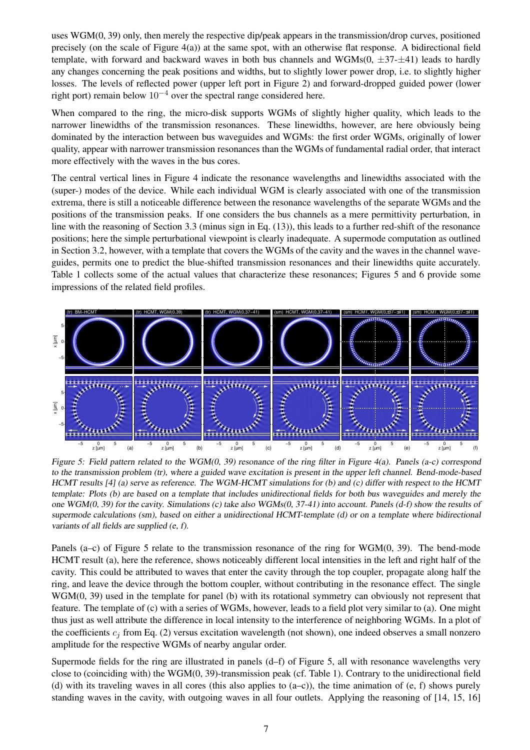uses WGM(0, 39) only, then merely the respective dip/peak appears in the transmission/drop curves, positioned precisely (on the scale of Figure 4(a)) at the same spot, with an otherwise flat response. A bidirectional field template, with forward and backward waves in both bus channels and WGMs $(0, \pm 37 - \pm 41)$  leads to hardly any changes concerning the peak positions and widths, but to slightly lower power drop, i.e. to slightly higher losses. The levels of reflected power (upper left port in Figure 2) and forward-dropped guided power (lower right port) remain below  $10^{-4}$  over the spectral range considered here.

When compared to the ring, the micro-disk supports WGMs of slightly higher quality, which leads to the narrower linewidths of the transmission resonances. These linewidths, however, are here obviously being dominated by the interaction between bus waveguides and WGMs: the first order WGMs, originally of lower quality, appear with narrower transmission resonances than the WGMs of fundamental radial order, that interact more effectively with the waves in the bus cores.

The central vertical lines in Figure 4 indicate the resonance wavelengths and linewidths associated with the (super-) modes of the device. While each individual WGM is clearly associated with one of the transmission extrema, there is still a noticeable difference between the resonance wavelengths of the separate WGMs and the positions of the transmission peaks. If one considers the bus channels as a mere permittivity perturbation, in line with the reasoning of Section 3.3 (minus sign in Eq. (13)), this leads to a further red-shift of the resonance positions; here the simple perturbational viewpoint is clearly inadequate. A supermode computation as outlined in Section 3.2, however, with a template that covers the WGMs of the cavity and the waves in the channel waveguides, permits one to predict the blue-shifted transmission resonances and their linewidths quite accurately. Table 1 collects some of the actual values that characterize these resonances; Figures 5 and 6 provide some impressions of the related field profiles.



Figure 5: Field pattern related to the WGM(0, 39) resonance of the ring filter in Figure 4(a). Panels (a-c) correspond to the transmission problem (tr), where <sup>a</sup> guided wave excitation is present in the upper left channel. Bend-mode-based HCMT results [4] (a) serve as reference. The WGM-HCMT simulations for (b) and (c) differ with respect to the HCMT template: Plots (b) are based on <sup>a</sup> template that includes unidirectional fields for both bus waveguides and merely the one WGM $(0, 39)$  for the cavity. Simulations (c) take also WGMs $(0, 37-41)$  into account. Panels  $(d-f)$  show the results of supermode calculations (sm), based on either a unidirectional HCMT-template (d) or on a template where bidirectional variants of all fields are supplied (e, f).

Panels (a–c) of Figure 5 relate to the transmission resonance of the ring for WGM(0, 39). The bend-mode HCMT result (a), here the reference, shows noticeably different local intensities in the left and right half of the cavity. This could be attributed to waves that enter the cavity through the top coupler, propagate along half the ring, and leave the device through the bottom coupler, without contributing in the resonance effect. The single WGM(0, 39) used in the template for panel (b) with its rotational symmetry can obviously not represent that feature. The template of (c) with a series of WGMs, however, leads to a field plot very similar to (a). One might thus just as well attribute the difference in local intensity to the interference of neighboring WGMs. In a plot of the coefficients  $c_j$  from Eq. (2) versus excitation wavelength (not shown), one indeed observes a small nonzero amplitude for the respective WGMs of nearby angular order.

Supermode fields for the ring are illustrated in panels (d–f) of Figure 5, all with resonance wavelengths very close to (coinciding with) the WGM(0, 39)-transmission peak (cf. Table 1). Contrary to the unidirectional field (d) with its traveling waves in all cores (this also applies to (a–c)), the time animation of (e, f) shows purely standing waves in the cavity, with outgoing waves in all four outlets. Applying the reasoning of [14, 15, 16]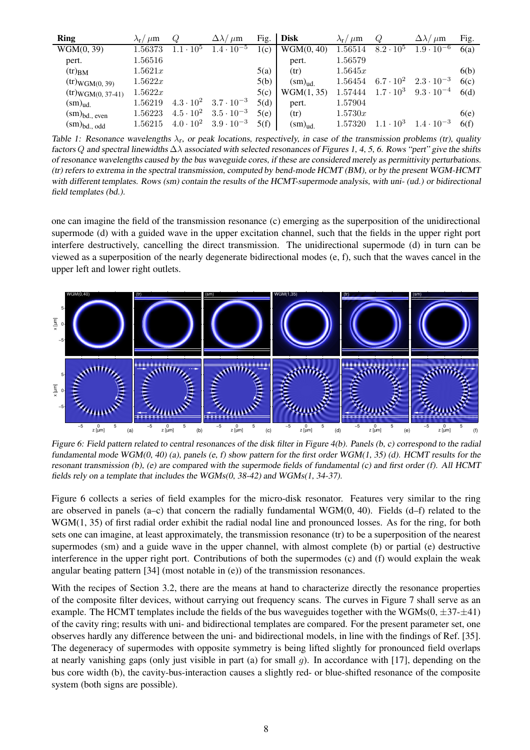| <b>Ring</b>                             | $\lambda_{\rm r}/\mu{\rm m}$ | O                  | $\Delta\lambda/\mu$ m | Fig. | <b>Disk</b>               | $\lambda_{\rm r}/\mu{\rm m}$ | Q                  | $\Delta\lambda/\mu$ m | Fig. |
|-----------------------------------------|------------------------------|--------------------|-----------------------|------|---------------------------|------------------------------|--------------------|-----------------------|------|
| WGM(0, 39)                              | 1.56373                      | $1.1 \cdot 10^{5}$ | $1.4 \cdot 10^{-5}$   | 1(c) | WGM(0, 40)                | 1.56514                      | $8.2 \cdot 10^{5}$ | $1.9 \cdot 10^{-6}$   | 6(a) |
| pert.                                   | 1.56516                      |                    |                       |      | pert.                     | 1.56579                      |                    |                       |      |
| $(tr)_{BM}$                             | 1.5621x                      |                    |                       | 5(a) | (tr)                      | 1.5645x                      |                    |                       | 6(b) |
| $(tr)_{WGM(0, 39)}$                     | 1.5622x                      |                    |                       | 5(b) | $\text{(sm)}_{\text{ud}}$ | 1.56454                      | $6.7 \cdot 10^{2}$ | $2.3 \cdot 10^{-3}$   | 6(c) |
| $(tr)_{WGM(0, 37-41)}$                  | 1.5622x                      |                    |                       | 5(c) | WGM(1, 35)                | 1.57444                      | $1.7 \cdot 10^3$   | $9.3 \cdot 10^{-4}$   | 6(d) |
| $\text{(sm)}_{\text{ud.}}$              | 1.56219                      | $4.3 \cdot 10^{2}$ | $3.7 \cdot 10^{-3}$   | 5(d) | pert.                     | 1.57904                      |                    |                       |      |
| $\text{(sm)}_{\text{bd.},\text{ even}}$ | 1.56223                      | $4.5 \cdot 10^{2}$ | $3.5 \cdot 10^{-3}$   | 5(e) | (tr)                      | 1.5730x                      |                    |                       | 6(e) |
| $\text{(sm)}_{\text{bd.}, \text{ odd}}$ | 1.56215                      | $4.0 \cdot 10^{2}$ | $3.9 \cdot 10^{-3}$   | 5(f) | $\text{(sm)}_{\text{ud}}$ | 1.57320                      | $.10^{3}$          | $1.4 \cdot 10^{-3}$   | 6(f) |

Table 1: Resonance wavelengths  $\lambda_r$ , or peak locations, respectively, in case of the transmission problems (tr), quality factors Q and spectral linewidths  $\Delta\lambda$  associated with selected resonances of Figures 1, 4, 5, 6. Rows "pert" give the shifts of resonance wavelengths caused by the bus waveguide cores, if these are considered merely as permittivity perturbations. (tr) refers to extrema in the spectral transmission, computed by bend-mode HCMT (BM), or by the present WGM-HCMT with different templates. Rows (sm) contain the results of the HCMT-supermode analysis, with uni- (ud.) or bidirectional field templates (bd.).

one can imagine the field of the transmission resonance (c) emerging as the superposition of the unidirectional supermode (d) with a guided wave in the upper excitation channel, such that the fields in the upper right port interfere destructively, cancelling the direct transmission. The unidirectional supermode (d) in turn can be viewed as a superposition of the nearly degenerate bidirectional modes (e, f), such that the waves cancel in the upper left and lower right outlets.



Figure 6: Field pattern related to central resonances of the disk filter in Figure 4(b). Panels (b, c) correspond to the radial fundamental mode WGM(0, 40) (a), panels (e, f) show pattern for the first order WGM(1, 35) (d). HCMT results for the resonant transmission  $(b)$ ,  $(e)$  are compared with the supermode fields of fundamental  $(c)$  and first order  $(f)$ . All HCMT fields rely on <sup>a</sup> template that includes the WGMs(0, 38-42) and WGMs(1, 34-37).

Figure 6 collects a series of field examples for the micro-disk resonator. Features very similar to the ring are observed in panels (a–c) that concern the radially fundamental WGM $(0, 40)$ . Fields  $(d-f)$  related to the WGM(1, 35) of first radial order exhibit the radial nodal line and pronounced losses. As for the ring, for both sets one can imagine, at least approximately, the transmission resonance (tr) to be a superposition of the nearest supermodes (sm) and a guide wave in the upper channel, with almost complete (b) or partial (e) destructive interference in the upper right port. Contributions of both the supermodes (c) and (f) would explain the weak angular beating pattern [34] (most notable in (e)) of the transmission resonances.

With the recipes of Section 3.2, there are the means at hand to characterize directly the resonance properties of the composite filter devices, without carrying out frequency scans. The curves in Figure 7 shall serve as an example. The HCMT templates include the fields of the bus waveguides together with the WGMs( $0, \pm 37$ - $\pm 41$ ) of the cavity ring; results with uni- and bidirectional templates are compared. For the present parameter set, one observes hardly any difference between the uni- and bidirectional models, in line with the findings of Ref. [35]. The degeneracy of supermodes with opposite symmetry is being lifted slightly for pronounced field overlaps at nearly vanishing gaps (only just visible in part (a) for small q). In accordance with  $[17]$ , depending on the bus core width (b), the cavity-bus-interaction causes a slightly red- or blue-shifted resonance of the composite system (both signs are possible).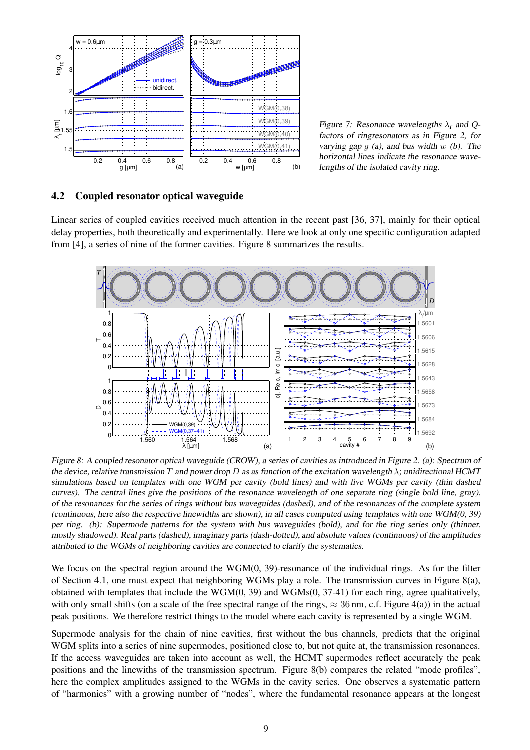

Figure 7: Resonance wavelengths  $\lambda_r$  and Ofactors of ringresonators as in Figure 2, for varying gap  $g$  (a), and bus width  $w$  (b). The horizontal lines indicate the resonance wavelengths of the isolated cavity ring.

#### **4.2 Coupled resonator optical waveguide**

Linear series of coupled cavities received much attention in the recent past [36, 37], mainly for their optical delay properties, both theoretically and experimentally. Here we look at only one specific configuration adapted from [4], a series of nine of the former cavities. Figure 8 summarizes the results.



Figure 8: <sup>A</sup> coupled resonator optical waveguide (CROW), <sup>a</sup> series of cavities as introduced in Figure 2. (a): Spectrum of the device, relative transmission T and power drop D as as function of the excitation wavelength  $\lambda$ ; unidirectional HCMT simulations based on templates with one WGM per cavity (bold lines) and with five WGMs per cavity (thin dashed curves). The central lines give the positions of the resonance wavelength of one separate ring (single bold line, gray), of the resonances for the series of rings without bus waveguides (dashed), and of the resonances of the complete system (continuous, here also the respective linewidths are shown), in all cases computed using templates with one WGM(0, 39) per ring. (b): Supermode patterns for the system with bus waveguides (bold), and for the ring series only (thinner, mostly shadowed). Real parts (dashed), imaginary parts (dash-dotted), and absolute values (continuous) of the amplitudes attributed to the WGMs of neighboring cavities are connected to clarify the systematics.

We focus on the spectral region around the  $WGM(0, 39)$ -resonance of the individual rings. As for the filter of Section 4.1, one must expect that neighboring WGMs play a role. The transmission curves in Figure 8(a), obtained with templates that include the  $WGM(0, 39)$  and  $WGMs(0, 37-41)$  for each ring, agree qualitatively, with only small shifts (on a scale of the free spectral range of the rings,  $\approx 36$  nm, c.f. Figure 4(a)) in the actual peak positions. We therefore restrict things to the model where each cavity is represented by a single WGM.

Supermode analysis for the chain of nine cavities, first without the bus channels, predicts that the original WGM splits into a series of nine supermodes, positioned close to, but not quite at, the transmission resonances. If the access waveguides are taken into account as well, the HCMT supermodes reflect accurately the peak positions and the linewiths of the transmission spectrum. Figure 8(b) compares the related "mode profiles", here the complex amplitudes assigned to the WGMs in the cavity series. One observes a systematic pattern of "harmonics" with a growing number of "nodes", where the fundamental resonance appears at the longest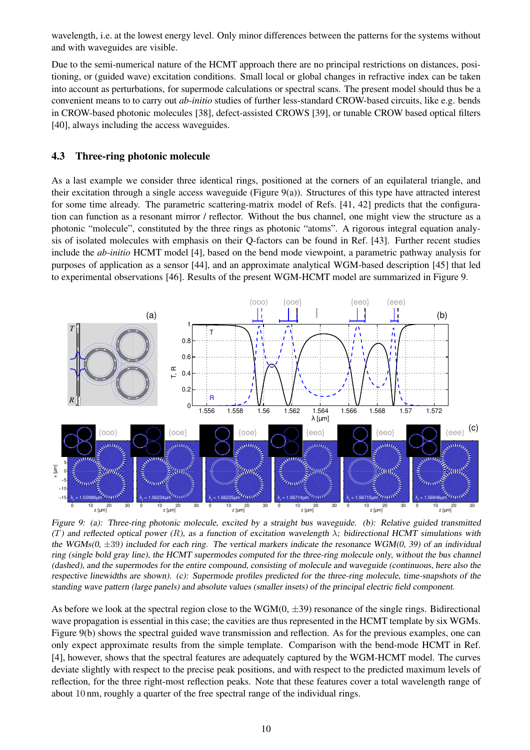wavelength, i.e. at the lowest energy level. Only minor differences between the patterns for the systems without and with waveguides are visible.

Due to the semi-numerical nature of the HCMT approach there are no principal restrictions on distances, positioning, or (guided wave) excitation conditions. Small local or global changes in refractive index can be taken into account as perturbations, for supermode calculations or spectral scans. The present model should thus be a convenient means to to carry out *ab-initio* studies of further less-standard CROW-based circuits, like e.g. bends in CROW-based photonic molecules [38], defect-assisted CROWS [39], or tunable CROW based optical filters [40], always including the access waveguides.

### **4.3 Three-ring photonic molecule**

As a last example we consider three identical rings, positioned at the corners of an equilateral triangle, and their excitation through a single access waveguide (Figure 9(a)). Structures of this type have attracted interest for some time already. The parametric scattering-matrix model of Refs. [41, 42] predicts that the configuration can function as a resonant mirror / reflector. Without the bus channel, one might view the structure as a photonic "molecule", constituted by the three rings as photonic "atoms". A rigorous integral equation analysis of isolated molecules with emphasis on their Q-factors can be found in Ref. [43]. Further recent studies include the *ab-initio* HCMT model [4], based on the bend mode viewpoint, a parametric pathway analysis for purposes of application as a sensor [44], and an approximate analytical WGM-based description [45] that led to experimental observations [46]. Results of the present WGM-HCMT model are summarized in Figure 9.



Figure 9: (a): Three-ring photonic molecule, excited by <sup>a</sup> straight bus waveguide. (b): Relative guided transmitted (T) and reflected optical power (R), as a function of excitation wavelength  $\lambda$ ; bidirectional HCMT simulations with the WGMs( $0, \pm 39$ ) included for each ring. The vertical markers indicate the resonance WGM( $0, 39$ ) of an individual ring (single bold gray line), the HCMT supermodes computed for the three-ring molecule only, without the bus channel (dashed), and the supermodes for the entire compound, consisting of molecule and waveguide (continuous, here also the respective linewidths are shown). (c): Supermode profiles predicted for the three-ring molecule, time-snapshots of the standing wave pattern (large panels) and absolute values (smaller insets) of the principal electric field component.

As before we look at the spectral region close to the WGM $(0, \pm 39)$  resonance of the single rings. Bidirectional wave propagation is essential in this case; the cavities are thus represented in the HCMT template by six WGMs. Figure 9(b) shows the spectral guided wave transmission and reflection. As for the previous examples, one can only expect approximate results from the simple template. Comparison with the bend-mode HCMT in Ref. [4], however, shows that the spectral features are adequately captured by the WGM-HCMT model. The curves deviate slightly with respect to the precise peak positions, and with respect to the predicted maximum levels of reflection, for the three right-most reflection peaks. Note that these features cover a total wavelength range of about 10 nm, roughly a quarter of the free spectral range of the individual rings.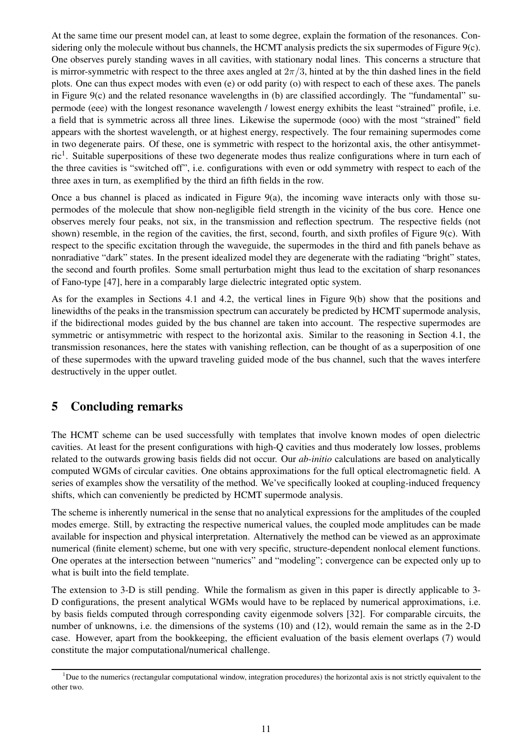At the same time our present model can, at least to some degree, explain the formation of the resonances. Considering only the molecule without bus channels, the HCMT analysis predicts the six supermodes of Figure 9(c). One observes purely standing waves in all cavities, with stationary nodal lines. This concerns a structure that is mirror-symmetric with respect to the three axes angled at  $2\pi/3$ , hinted at by the thin dashed lines in the field plots. One can thus expect modes with even (e) or odd parity (o) with respect to each of these axes. The panels in Figure 9(c) and the related resonance wavelengths in (b) are classified accordingly. The "fundamental" supermode (eee) with the longest resonance wavelength / lowest energy exhibits the least "strained" profile, i.e. a field that is symmetric across all three lines. Likewise the supermode (ooo) with the most "strained" field appears with the shortest wavelength, or at highest energy, respectively. The four remaining supermodes come in two degenerate pairs. Of these, one is symmetric with respect to the horizontal axis, the other antisymmetric<sup>1</sup>. Suitable superpositions of these two degenerate modes thus realize configurations where in turn each of the three cavities is "switched off", i.e. configurations with even or odd symmetry with respect to each of the three axes in turn, as exemplified by the third an fifth fields in the row.

Once a bus channel is placed as indicated in Figure 9(a), the incoming wave interacts only with those supermodes of the molecule that show non-negligible field strength in the vicinity of the bus core. Hence one observes merely four peaks, not six, in the transmission and reflection spectrum. The respective fields (not shown) resemble, in the region of the cavities, the first, second, fourth, and sixth profiles of Figure 9(c). With respect to the specific excitation through the waveguide, the supermodes in the third and fith panels behave as nonradiative "dark" states. In the present idealized model they are degenerate with the radiating "bright" states, the second and fourth profiles. Some small perturbation might thus lead to the excitation of sharp resonances of Fano-type [47], here in a comparably large dielectric integrated optic system.

As for the examples in Sections 4.1 and 4.2, the vertical lines in Figure 9(b) show that the positions and linewidths of the peaks in the transmission spectrum can accurately be predicted by HCMT supermode analysis, if the bidirectional modes guided by the bus channel are taken into account. The respective supermodes are symmetric or antisymmetric with respect to the horizontal axis. Similar to the reasoning in Section 4.1, the transmission resonances, here the states with vanishing reflection, can be thought of as a superposition of one of these supermodes with the upward traveling guided mode of the bus channel, such that the waves interfere destructively in the upper outlet.

# **5 Concluding remarks**

The HCMT scheme can be used successfully with templates that involve known modes of open dielectric cavities. At least for the present configurations with high-Q cavities and thus moderately low losses, problems related to the outwards growing basis fields did not occur. Our *ab-initio* calculations are based on analytically computed WGMs of circular cavities. One obtains approximations for the full optical electromagnetic field. A series of examples show the versatility of the method. We've specifically looked at coupling-induced frequency shifts, which can conveniently be predicted by HCMT supermode analysis.

The scheme is inherently numerical in the sense that no analytical expressions for the amplitudes of the coupled modes emerge. Still, by extracting the respective numerical values, the coupled mode amplitudes can be made available for inspection and physical interpretation. Alternatively the method can be viewed as an approximate numerical (finite element) scheme, but one with very specific, structure-dependent nonlocal element functions. One operates at the intersection between "numerics" and "modeling"; convergence can be expected only up to what is built into the field template.

The extension to 3-D is still pending. While the formalism as given in this paper is directly applicable to 3- D configurations, the present analytical WGMs would have to be replaced by numerical approximations, i.e. by basis fields computed through corresponding cavity eigenmode solvers [32]. For comparable circuits, the number of unknowns, i.e. the dimensions of the systems (10) and (12), would remain the same as in the 2-D case. However, apart from the bookkeeping, the efficient evaluation of the basis element overlaps (7) would constitute the major computational/numerical challenge.

<sup>&</sup>lt;sup>1</sup>Due to the numerics (rectangular computational window, integration procedures) the horizontal axis is not strictly equivalent to the other two.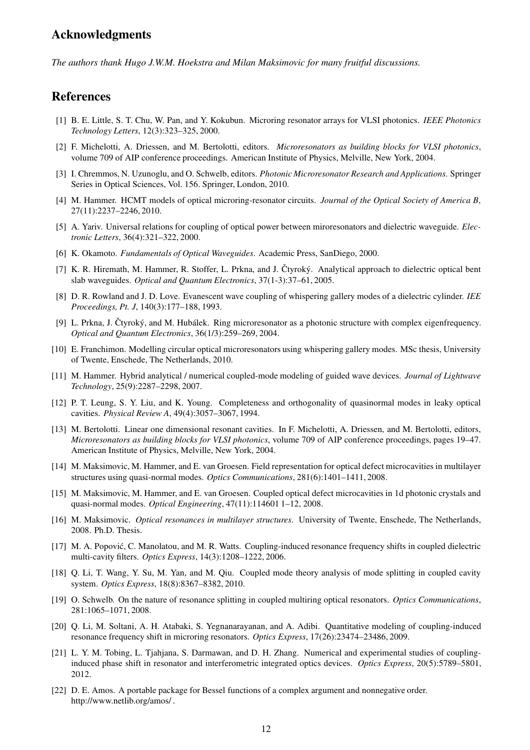## **Acknowledgments**

*The authors thank Hugo J.W.M. Hoekstra and Milan Maksimovic for many fruitful discussions.*

### **References**

- [1] B. E. Little, S. T. Chu, W. Pan, and Y. Kokubun. Microring resonator arrays for VLSI photonics. *IEEE Photonics Technology Letters*, 12(3):323–325, 2000.
- [2] F. Michelotti, A. Driessen, and M. Bertolotti, editors. *Microresonators as building blocks for VLSI photonics*, volume 709 of AIP conference proceedings. American Institute of Physics, Melville, New York, 2004.
- [3] I. Chremmos, N. Uzunoglu, and O. Schwelb, editors. *Photonic Microresonator Research and Applications*. Springer Series in Optical Sciences, Vol. 156. Springer, London, 2010.
- [4] M. Hammer. HCMT models of optical microring-resonator circuits. *Journal of the Optical Society of America B*, 27(11):2237–2246, 2010.
- [5] A. Yariv. Universal relations for coupling of optical power between miroresonators and dielectric waveguide. *Electronic Letters*, 36(4):321–322, 2000.
- [6] K. Okamoto. *Fundamentals of Optical Waveguides*. Academic Press, SanDiego, 2000.
- [7] K. R. Hiremath, M. Hammer, R. Stoffer, L. Prkna, and J. Ctyroký. Analytical approach to dielectric optical bent slab waveguides. *Optical and Quantum Electronics*, 37(1-3):37–61, 2005.
- [8] D. R. Rowland and J. D. Love. Evanescent wave coupling of whispering gallery modes of a dielectric cylinder. *IEE Proceedings, Pt. J*, 140(3):177–188, 1993.
- [9] L. Prkna, J. Čtyroký, and M. Hubálek. Ring microresonator as a photonic structure with complex eigenfrequency. *Optical and Quantum Electronics*, 36(1/3):259–269, 2004.
- [10] E. Franchimon. Modelling circular optical microresonators using whispering gallery modes. MSc thesis, University of Twente, Enschede, The Netherlands, 2010.
- [11] M. Hammer. Hybrid analytical / numerical coupled-mode modeling of guided wave devices. *Journal of Lightwave Technology*, 25(9):2287–2298, 2007.
- [12] P. T. Leung, S. Y. Liu, and K. Young. Completeness and orthogonality of quasinormal modes in leaky optical cavities. *Physical Review A*, 49(4):3057–3067, 1994.
- [13] M. Bertolotti. Linear one dimensional resonant cavities. In F. Michelotti, A. Driessen, and M. Bertolotti, editors, *Microresonators as building blocks for VLSI photonics*, volume 709 of AIP conference proceedings, pages 19–47. American Institute of Physics, Melville, New York, 2004.
- [14] M. Maksimovic, M. Hammer, and E. van Groesen. Field representation for optical defect microcavities in multilayer structures using quasi-normal modes. *Optics Communications*, 281(6):1401–1411, 2008.
- [15] M. Maksimovic, M. Hammer, and E. van Groesen. Coupled optical defect microcavities in 1d photonic crystals and quasi-normal modes. *Optical Engineering*, 47(11):114601 1–12, 2008.
- [16] M. Maksimovic. *Optical resonances in multilayer structures*. University of Twente, Enschede, The Netherlands, 2008. Ph.D. Thesis.
- [17] M. A. Popović, C. Manolatou, and M. R. Watts. Coupling-induced resonance frequency shifts in coupled dielectric multi-cavity filters. *Optics Express*, 14(3):1208–1222, 2006.
- [18] Q. Li, T. Wang, Y. Su, M. Yan, and M. Qiu. Coupled mode theory analysis of mode splitting in coupled cavity system. *Optics Express*, 18(8):8367–8382, 2010.
- [19] O. Schwelb. On the nature of resonance splitting in coupled multiring optical resonators. *Optics Communications*, 281:1065–1071, 2008.
- [20] Q. Li, M. Soltani, A. H. Atabaki, S. Yegnanarayanan, and A. Adibi. Quantitative modeling of coupling-induced resonance frequency shift in microring resonators. *Optics Express*, 17(26):23474–23486, 2009.
- [21] L. Y. M. Tobing, L. Tjahjana, S. Darmawan, and D. H. Zhang. Numerical and experimental studies of couplinginduced phase shift in resonator and interferometric integrated optics devices. *Optics Express*, 20(5):5789–5801, 2012.
- [22] D. E. Amos. A portable package for Bessel functions of a complex argument and nonnegative order. http://www.netlib.org/amos/ .